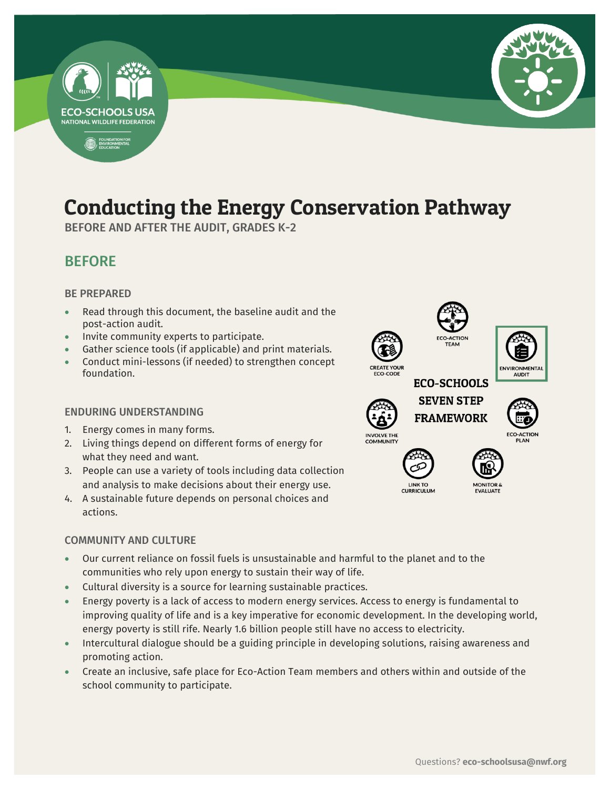

## Conducting the Energy Conservation Pathway

-

BEFORE AND AFTER THE AUDIT, GRADES K-2

### BEFORE

### BE PREPARED

- Read through this document, the baseline audit and the post-action audit.
- Invite community experts to participate.
- Gather science tools (if applicable) and print materials.
- Conduct mini-lessons (if needed) to strengthen concept foundation.

### ENDURING UNDERSTANDING

- 1. Energy comes in many forms.
- 2. Living things depend on different forms of energy for what they need and want.
- 3. People can use a variety of tools including data collection and analysis to make decisions about their energy use.
- 4. A sustainable future depends on personal choices and actions.

### COMMUNITY AND CULTURE

- Our current reliance on fossil fuels is unsustainable and harmful to the planet and to the communities who rely upon energy to sustain their way of life.
- Cultural diversity is a source for learning sustainable practices.
- Energy poverty is a lack of access to modern energy services. Access to energy is fundamental to improving quality of life and is a key imperative for economic development. In the developing world, energy poverty is still rife. Nearly 1.6 billion people still have no access to electricity.
- Intercultural dialogue should be a guiding principle in developing solutions, raising awareness and promoting action.
- Create an inclusive, safe place for Eco-Action Team members and others within and outside of the school community to participate.

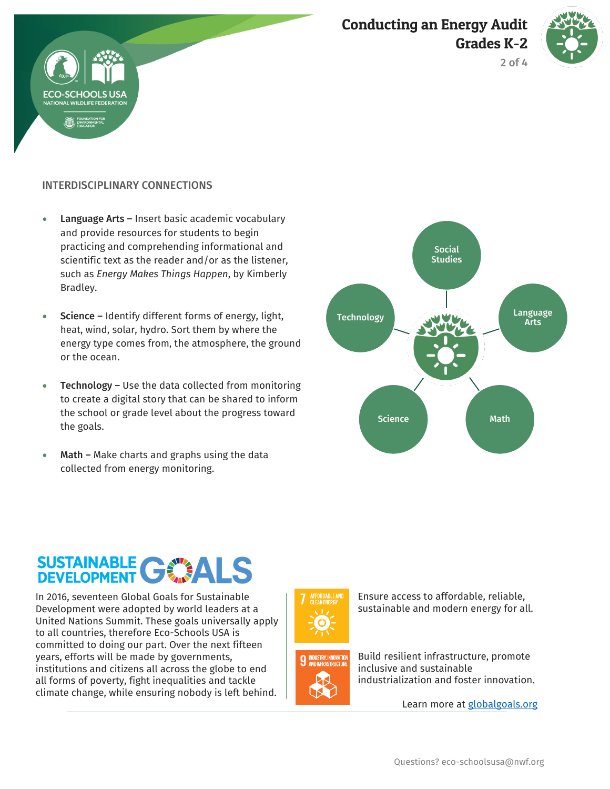### Conducting an Energy Audit Grades K-2



2 of 4



- Language Arts Insert basic academic vocabulary and provide resources for students to begin practicing and comprehending informational and scientific text as the reader and/or as the listener, such as *Energy Makes Things Happen*, by Kimberly Bradley.
- Science Identify different forms of energy, light, heat, wind, solar, hydro. Sort them by where the energy type comes from, the atmosphere, the ground or the ocean.
- Technology Use the data collected from monitoring to create a digital story that can be shared to inform the school or grade level about the progress toward the goals.
- Math Make charts and graphs using the data collected from energy monitoring.



# SUSTAINABLE GWALS

In 2016, seventeen Global Goals for Sustainable Development were adopted by world leaders at a United Nations Summit. These goals universally apply to all countries, therefore Eco-Schools USA is committed to doing our part. Over the next fifteen years, efforts will be made by governments, institutions and citizens all across the globe to end all forms of poverty, fight inequalities and tackle climate change, while ensuring nobody is left behind.

![](_page_1_Picture_10.jpeg)

![](_page_1_Picture_11.jpeg)

Ensure access to affordable, reliable, sustainable and modern energy for all.

Build resilient infrastructure, promote inclusive and sustainable industrialization and foster innovation.

Learn more at [globalgoals.org](https://www.globalgoals.org/)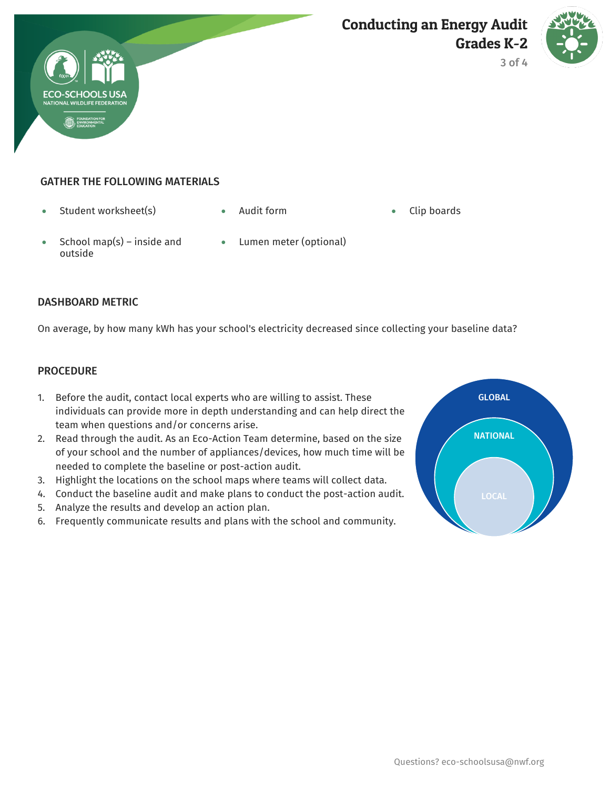![](_page_2_Picture_0.jpeg)

![](_page_2_Picture_2.jpeg)

3 of 4

### GATHER THE FOLLOWING MATERIALS

- Student worksheet(s) Audit form Clip boards
	-

- School map(s) inside and outside
- Lumen meter (optional)

### DASHBOARD METRIC

On average, by how many kWh has your school's electricity decreased since collecting your baseline data?

### **PROCEDURE**

- 1. Before the audit, contact local experts who are willing to assist. These individuals can provide more in depth understanding and can help direct the team when questions and/or concerns arise.
- 2. Read through the audit. As an Eco-Action Team determine, based on the size of your school and the number of appliances/devices, how much time will be needed to complete the baseline or post-action audit.
- 3. Highlight the locations on the school maps where teams will collect data.
- 4. Conduct the baseline audit and make plans to conduct the post-action audit.
- 5. Analyze the results and develop an action plan.
- 6. Frequently communicate results and plans with the school and community.

![](_page_2_Figure_18.jpeg)